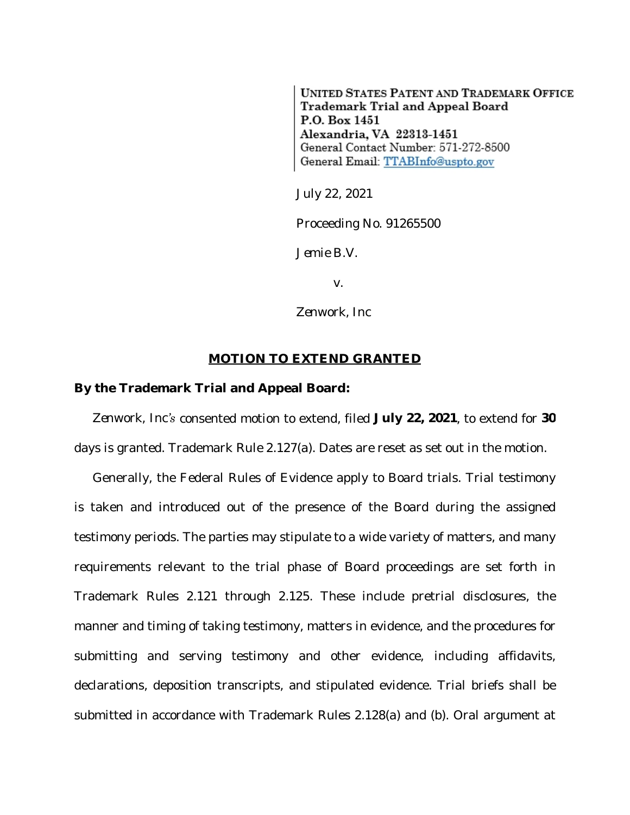**UNITED STATES PATENT AND TRADEMARK OFFICE Trademark Trial and Appeal Board** P.O. Box 1451 Alexandria, VA 22313-1451 General Contact Number: 571-272-8500 General Email: TTABInfo@uspto.gov

July 22, 2021

Proceeding No. 91265500

*Jemie B.V.*

v.

*Zenwork, Inc*

## **MOTION TO EXTEND GRANTED**

## **By the Trademark Trial and Appeal Board:**

*Zenwork, Inc's* consented motion to extend, filed **July 22, 2021**, to extend for **30** days is granted. Trademark Rule 2.127(a). Dates are reset as set out in the motion.

Generally, the Federal Rules of Evidence apply to Board trials. Trial testimony is taken and introduced out of the presence of the Board during the assigned testimony periods. The parties may stipulate to a wide variety of matters, and many requirements relevant to the trial phase of Board proceedings are set forth in Trademark Rules 2.121 through 2.125. These include pretrial disclosures, the manner and timing of taking testimony, matters in evidence, and the procedures for submitting and serving testimony and other evidence, including affidavits, declarations, deposition transcripts, and stipulated evidence. Trial briefs shall be submitted in accordance with Trademark Rules 2.128(a) and (b). Oral argument at